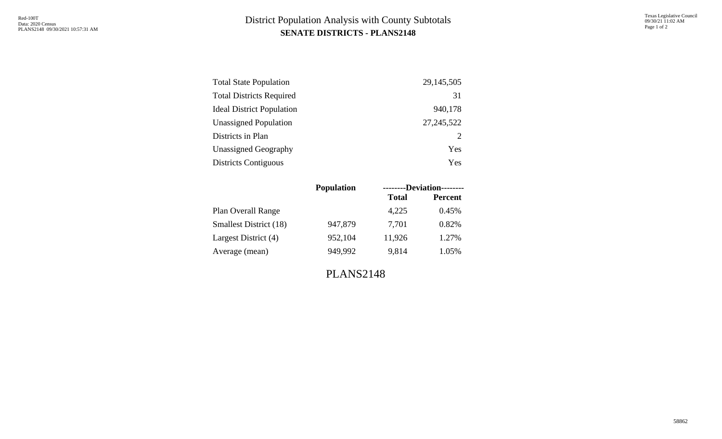# **SENATE DISTRICTS - PLANS2148** District Population Analysis with County Subtotals

| <b>Total State Population</b>    | 29,145,505   |
|----------------------------------|--------------|
| <b>Total Districts Required</b>  | 31           |
| <b>Ideal District Population</b> | 940,178      |
| <b>Unassigned Population</b>     | 27, 245, 522 |
| Districts in Plan                | 2            |
| <b>Unassigned Geography</b>      | Yes          |
| <b>Districts Contiguous</b>      | Yes          |

| <b>Population</b> | --------Deviation-------- |                |  |  |  |
|-------------------|---------------------------|----------------|--|--|--|
|                   | <b>Total</b>              | <b>Percent</b> |  |  |  |
|                   | 4,225                     | 0.45%          |  |  |  |
| 947,879           | 7,701                     | 0.82%          |  |  |  |
| 952,104           | 11,926                    | 1.27%          |  |  |  |
| 949,992           | 9,814                     | 1.05%          |  |  |  |
|                   |                           |                |  |  |  |

PLANS2148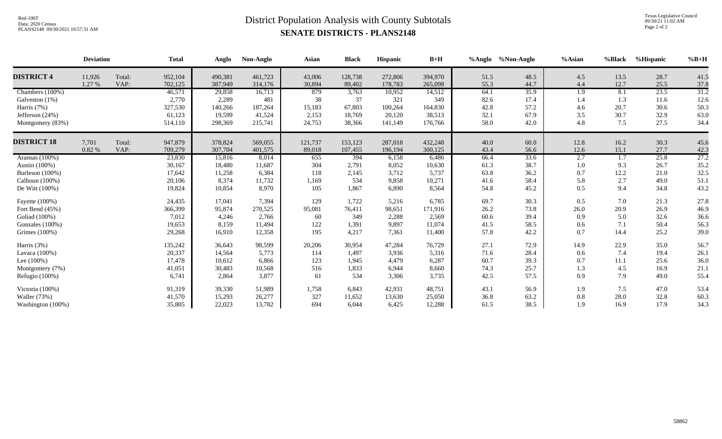## **SENATE DISTRICTS - PLANS2148** District Population Analysis with County Subtotals

Texas Legislative Council 09/30/21 11:02 AM Page 2 of 2

|                    | <b>Deviation</b> |                | <b>Total</b>       | Anglo              | Non-Anglo          | Asian            | <b>Black</b>      | Hispanic           | $B+H$              |              | %Anglo %Non-Anglo | %Asian     | %Black       | %Hispanic    | $%B+H$       |
|--------------------|------------------|----------------|--------------------|--------------------|--------------------|------------------|-------------------|--------------------|--------------------|--------------|-------------------|------------|--------------|--------------|--------------|
| <b>DISTRICT 4</b>  | 11,926<br>1.27 % | Total:<br>VAP: | 952,104<br>702,125 | 490,381<br>387,949 | 461,723<br>314,176 | 43,006<br>30,894 | 128,738<br>89,402 | 272,806<br>178,783 | 394,970<br>265,098 | 51.5<br>55.3 | 48.5<br>44.7      | 4.5<br>4.4 | 13.5<br>12.7 | 28.7<br>25.5 | 41.5<br>37.8 |
| Chambers (100%)    |                  |                | 46,571             | 29,858             | 16,713             | 879              | 3,763             | 10,952             | 14,512             | 64.1         | 35.9              | 1.9        | 8.1          | 23.5         | 31.2         |
| Galveston (1%)     |                  |                | 2,770              | 2,289              | 481                | 38               | 37                | 321                | 349                | 82.6         | 17.4              | 1.4        | 1.3          | 11.6         | 12.6         |
| Harris (7%)        |                  |                | 327,530            | 140,266            | 187,264            | 15,183           | 67,803            | 100,264            | 164,830            | 42.8         | 57.2              | 4.6        | 20.7         | 30.6         | 50.3         |
| Jefferson $(24%)$  |                  |                | 61,123             | 19,599             | 41,524             | 2,153            | 18,769            | 20,120             | 38,513             | 32.1         | 67.9              | 3.5        | 30.7         | 32.9         | 63.0         |
| Montgomery (83%)   |                  |                | 514,110            | 298,369            | 215,741            | 24,753           | 38,366            | 141,149            | 176,766            | 58.0         | 42.0              | 4.8        | 7.5          | 27.5         | 34.4         |
| <b>DISTRICT 18</b> | 7,701            | Total:         | 947,879            | 378,824            | 569,055            | 121,737          | 153,123           | 287,018            | 432,248            | 40.0         | 60.0              | 12.8       | 16.2         | 30.3         | 45.6         |
|                    | 0.82 %           | VAP:           | 709,279            | 307,704            | 401,575            | 89,018           | 107,455           | 196,194            | 300,125            | 43.4         | 56.6              | 12.6       | 15.1         | 27.7         | 42.3         |
| Aransas $(100\%)$  |                  |                | 23,830             | 15,816             | 8,014              | 655              | 394               | 6,158              | 6,486              | 66.4         | 33.6              | 2.7        | 1.7          | 25.8         | 27.2         |
| Austin (100%)      |                  |                | 30,167             | 18,480             | 11,687             | 304              | 2,791             | 8,052              | 10,630             | 61.3         | 38.7              | 1.0        | 9.3          | 26.7         | 35.2         |
| Burleson (100%)    |                  |                | 17,642             | 11,258             | 6,384              | 118              | 2,145             | 3,712              | 5,737              | 63.8         | 36.2              | 0.7        | 12.2         | 21.0         | 32.5         |
| Calhoun (100%)     |                  |                | 20,106             | 8,374              | 11,732             | 1,169            | 534               | 9,858              | 10,271             | 41.6         | 58.4              | 5.8        | 2.7          | 49.0         | 51.1         |
| De Witt (100%)     |                  |                | 19,824             | 10,854             | 8,970              | 105              | 1,867             | 6,890              | 8,564              | 54.8         | 45.2              | 0.5        | 9.4          | 34.8         | 43.2         |
| Fayette (100%)     |                  |                | 24,435             | 17,041             | 7,394              | 129              | 1,722             | 5,216              | 6,785              | 69.7         | 30.3              | 0.5        | 7.0          | 21.3         | 27.8         |
| Fort Bend (45%)    |                  |                | 366,399            | 95,874             | 270,525            | 95,081           | 76,411            | 98,651             | 171,916            | 26.2         | 73.8              | 26.0       | 20.9         | 26.9         | 46.9         |
| Goliad (100%)      |                  |                | 7,012              | 4,246              | 2,766              | 60               | 349               | 2,288              | 2,569              | 60.6         | 39.4              | 0.9        | 5.0          | 32.6         | 36.6         |
| Gonzales (100%)    |                  |                | 19,653             | 8,159              | 11,494             | 122              | 1,391             | 9,897              | 11,074             | 41.5         | 58.5              | 0.6        | 7.1          | 50.4         | 56.3         |
| Grimes (100%)      |                  |                | 29,268             | 16,910             | 12,358             | 195              | 4,217             | 7,361              | 11,400             | 57.8         | 42.2              | 0.7        | 14.4         | 25.2         | 39.0         |
| Harris (3%)        |                  |                | 135,242            | 36,643             | 98,599             | 20,206           | 30,954            | 47,284             | 76,729             | 27.1         | 72.9              | 14.9       | 22.9         | 35.0         | 56.7         |
| Lavaca (100%)      |                  |                | 20,337             | 14,564             | 5,773              | 114              | 1,497             | 3,936              | 5,316              | 71.6         | 28.4              | 0.6        | 7.4          | 19.4         | 26.1         |
| Lee $(100\%)$      |                  |                | 17,478             | 10,612             | 6,866              | 123              | 1,945             | 4,479              | 6,287              | 60.7         | 39.3              | 0.7        | 11.1         | 25.6         | 36.0         |
| Montgomery (7%)    |                  |                | 41,051             | 30,483             | 10,568             | 516              | 1,833             | 6,944              | 8,660              | 74.3         | 25.7              | 1.3        | 4.5          | 16.9         | 21.1         |
| Refugio (100%)     |                  |                | 6,741              | 2,864              | 3,877              | 61               | 534               | 3,306              | 3,735              | 42.5         | 57.5              | 0.9        | 7.9          | 49.0         | 55.4         |
| Victoria (100%)    |                  |                | 91,319             | 39,330             | 51,989             | 1,758            | 6,843             | 42,931             | 48,751             | 43.1         | 56.9              | 1.9        | 7.5          | 47.0         | 53.4         |
| Waller (73%)       |                  |                | 41,570             | 15,293             | 26,277             | 327              | 11,652            | 13,630             | 25,050             | 36.8         | 63.2              | 0.8        | 28.0         | 32.8         | 60.3         |
| Washington (100%)  |                  |                | 35,805             | 22,023             | 13,782             | 694              | 6,044             | 6,425              | 12,288             | 61.5         | 38.5              | 1.9        | 16.9         | 17.9         | 34.3         |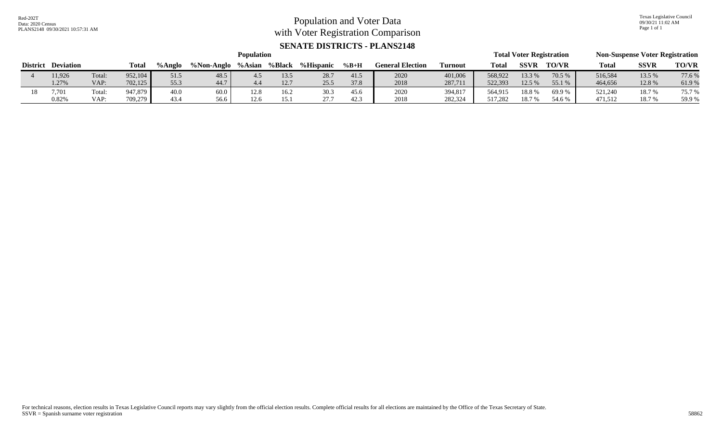Red-202T Data: 2020 Census PLANS2148 09/30/2021 10:57:31 AM

### Population and Voter Data with Voter Registration Comparison

Texas Legislative Council 09/30/21 11:02 AM Page 1 of 1

#### **SENATE DISTRICTS - PLANS2148**

| <b>Population</b> |                  |        |              |        |            |               |        |                    | <b>Total Voter Registration</b> |                         |                |              |             | <b>Non-Suspense Voter Registration</b> |              |             |              |
|-------------------|------------------|--------|--------------|--------|------------|---------------|--------|--------------------|---------------------------------|-------------------------|----------------|--------------|-------------|----------------------------------------|--------------|-------------|--------------|
| <b>District</b>   | <b>Deviation</b> |        | <b>Total</b> | %Anglo | %Non-Anglo | <b>%Asian</b> | %Black | %Hispanic          | $%B+H$                          | <b>General Election</b> | <b>Turnout</b> | <b>Total</b> | <b>SSVR</b> | TO/VR                                  | <b>Total</b> | <b>SSVR</b> | <b>TO/VR</b> |
|                   | 11,926           | Total: | 952,104      | 51.5   | 48.5       | 4.5           | 13.5   | 28.7               |                                 | 2020                    | 401,006        | 568,922      | 13.3 %      | 70.5 %                                 | 516,584      | 13.5 %      | 77.6 %       |
|                   | 1.27%            | VAP:   | 702,125      | 55.3   | 44.7       |               | 12.7   | 25.5               | 37.8                            | 2018                    | 287,711        | 522,393      | 12.5 %      | 55.1 %                                 | 464.656      | 12.8%       | 61.9%        |
|                   | 7,701            | Total. | 947,879      | 40.0   | 60.0       | 12.8          | 16.2   | 30.3               | 45.6                            | 2020                    | 394,817        | 564,915      | 18.8%       | 69.9%                                  | 521,240      | 18.7%       | 75.7 %       |
|                   | 0.82%            | VAP:   | 709,279      | 43.4   | 56.6       |               | 15.    | $\sim$ $\sim$<br>. | 42.3                            | 2018                    | 282,324        | 517,282      | 18.7%       | 54.6 %                                 | 471,512      | 18.7 %      | 59.9%        |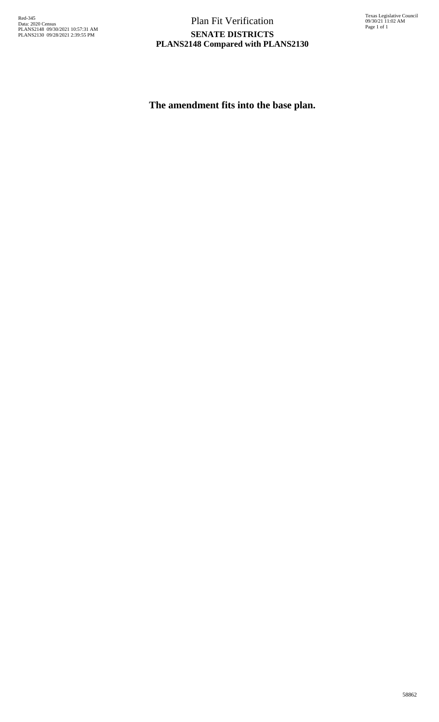Plan Fit Verification **SENATE DISTRICTS PLANS2148 Compared with PLANS2130**

**The amendment fits into the base plan.**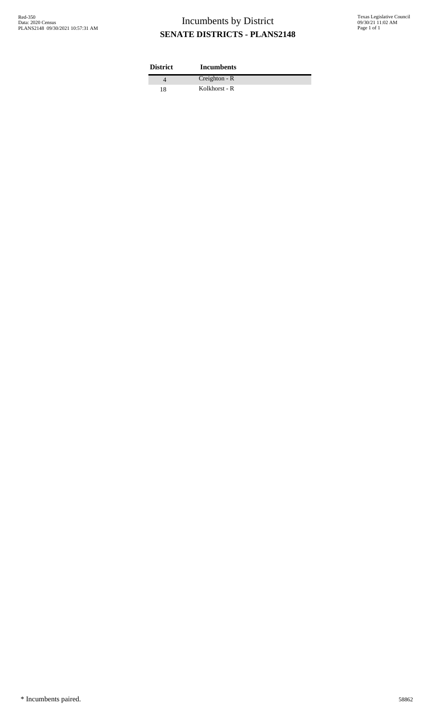# Incumbents by District **SENATE DISTRICTS - PLANS2148**

| <b>District</b> | <b>Incumbents</b> |
|-----------------|-------------------|
|                 | Creighton - R     |
| 18              | Kolkhorst - R     |